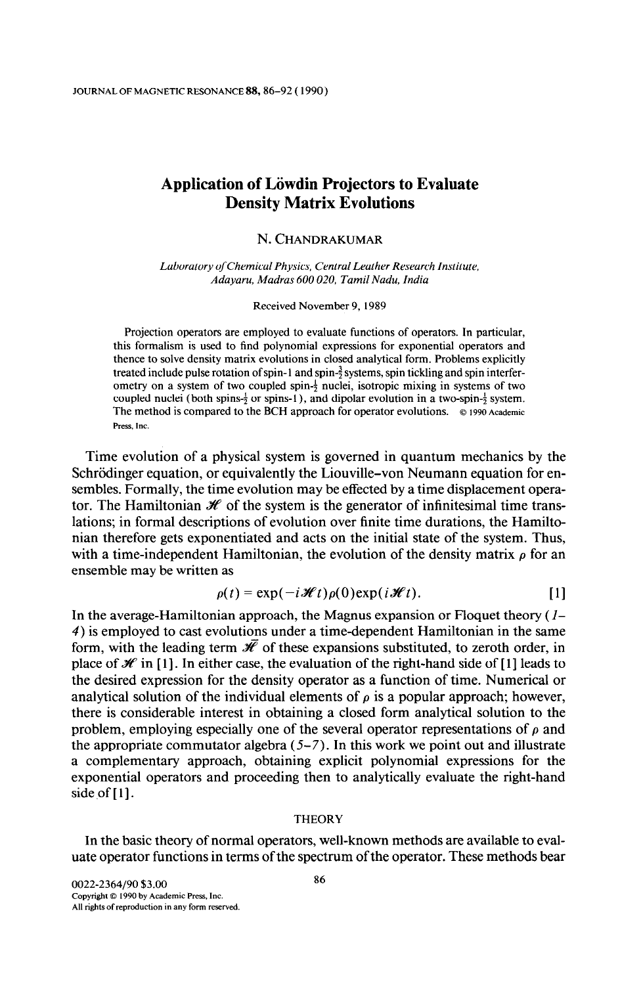# Application of Löwdin Projectors to Evaluate Density Matrix Evolutions

## N. CHANDRAKUMAR

Laboratory of Chemical Physics, Central Leather Research Institute, Adayaru, Madras 600 020. Tamil Nadu, India

Received November 9, 1989

Projection operators are employed to evaluate functions of operators. In particular, this formalism is used to find polynomial expressions for exponential operators and thence to solve density matrix evolutions in closed analytical form. Problems explicitly treated include pulse rotation of spin-1 and spin- $\frac{3}{2}$  systems, spin tickling and spin interferometry on a system of two coupled spin- $\frac{1}{2}$  nuclei, isotropic mixing in systems of two coupled nuclei (both spins- $\frac{1}{2}$  or spins-1), and dipolar evolution in a two-spin- $\frac{1}{2}$  system. The method is compared to the BCH approach for operator evolutions.  $\circ$  1990 Academic Press, Inc.

Time evolution of a physical system is governed in quantum mechanics by the Schrödinger equation, or equivalently the Liouville-von Neumann equation for ensembles. Formally, the time evolution may be effected by a time displacement operator. The Hamiltonian  $\mathcal H$  of the system is the generator of infinitesimal time translations; in formal descriptions of evolution over finite time durations, the Hamiltonian therefore gets exponentiated and acts on the initial state of the system. Thus, with a time-independent Hamiltonian, the evolution of the density matrix  $\rho$  for an ensemble may be written as

$$
\rho(t) = \exp(-i\mathscr{H}t)\rho(0)\exp(i\mathscr{H}t).
$$
 [1]

In the average-Hamiltonian approach, the Magnus expansion or Floquet theory  $(I-)$ 4) is employed to cast evolutions under a time-dependent Hamiltonian in the same form, with the leading term  $\bar{\mathcal{H}}$  of these expansions substituted, to zeroth order, in place of  $\mathcal H$  in [1]. In either case, the evaluation of the right-hand side of [1] leads to the desired expression for the density operator as a function of time. Numerical or analytical solution of the individual elements of  $\rho$  is a popular approach; however, there is considerable interest in obtaining a closed form analytical solution to the problem, employing especially one of the several operator representations of  $\rho$  and the appropriate commutator algebra  $(5-7)$ . In this work we point out and illustrate a complementary approach, obtaining explicit polynomial expressions for the exponential operators and proceeding then to analytically evaluate the right-hand side of  $[1]$ .

### **THEORY**

In the basic theory of normal operators, well-known methods are available to evaluate operator functions in terms of the spectrum of the operator. These methods bear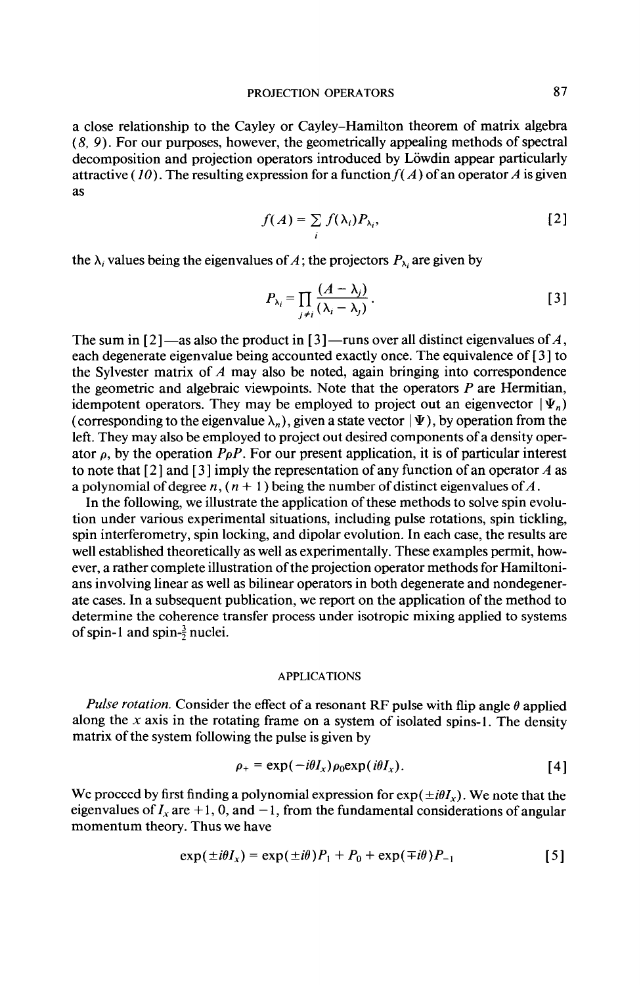a close relationship to the Cayley or Cayley-Hamilton theorem of matrix algebra (8, 9). For our purposes, however, the geometrically appealing methods of spectral decomposition and projection operators introduced by Löwdin appear particularly attractive (10). The resulting expression for a function  $f(A)$  of an operator A is given as

$$
f(A) = \sum_{i} f(\lambda_i) P_{\lambda_i},
$$
 [2]

the  $\lambda_i$  values being the eigenvalues of A; the projectors  $P_{\lambda_i}$  are given by

$$
P_{\lambda_i} = \prod_{j \neq i} \frac{(A - \lambda_j)}{(\lambda_i - \lambda_j)}.
$$
 [3]

The sum in  $\lceil 2 \rceil$  -as also the product in  $\lceil 3 \rceil$  -runs over all distinct eigenvalues of A, each degenerate eigenvalue being accounted exactly once. The equivalence of [ 3 ] to the Sylvester matrix of  $A$  may also be noted, again bringing into correspondence the geometric and algebraic viewpoints. Note that the operators  $P$  are Hermitian, idempotent operators. They may be employed to project out an eigenvector  $|\Psi_n\rangle$ (corresponding to the eigenvalue  $\lambda_n$ ), given a state vector  $\Psi$ ), by operation from the left. They may also be employed to project out desired components of a density operator  $\rho$ , by the operation P $\rho P$ . For our present application, it is of particular interest to note that  $\lceil 2 \rceil$  and  $\lceil 3 \rceil$  imply the representation of any function of an operator A as a polynomial of degree  $n$ ,  $(n + 1)$  being the number of distinct eigenvalues of A.

In the following, we illustrate the application of these methods to solve spin evolution under various experimental situations, including pulse rotations, spin tickling, spin interferometry, spin locking, and dipolar evolution. In each case, the results are well established theoretically as well as experimentally. These examples permit, however, a rather complete illustration of the projection operator methods for Hamiltonians involving linear as well as bilinear operators in both degenerate and nondegenerate cases. In a subsequent publication, we report on the application of the method to determine the coherence transfer process under isotropic mixing applied to systems of spin-1 and spin- $\frac{3}{2}$  nuclei.

### APPLICATIONS

Pulse rotation. Consider the effect of a resonant RF pulse with flip angle  $\theta$  applied along the x axis in the rotating frame on a system of isolated spins-1. The density matrix of the system following the pulse is given by

$$
\rho_{+} = \exp(-i\theta I_{x})\rho_{0} \exp(i\theta I_{x}).
$$
 [4]

We proceed by first finding a polynomial expression for  $exp(\pm i\theta I_r)$ . We note that the eigenvalues of  $I_x$  are +1, 0, and -1, from the fundamental considerations of angular momentum theory. Thus we have

$$
\exp(\pm i\theta I_x) = \exp(\pm i\theta) P_1 + P_0 + \exp(\mp i\theta) P_{-1}
$$
 [5]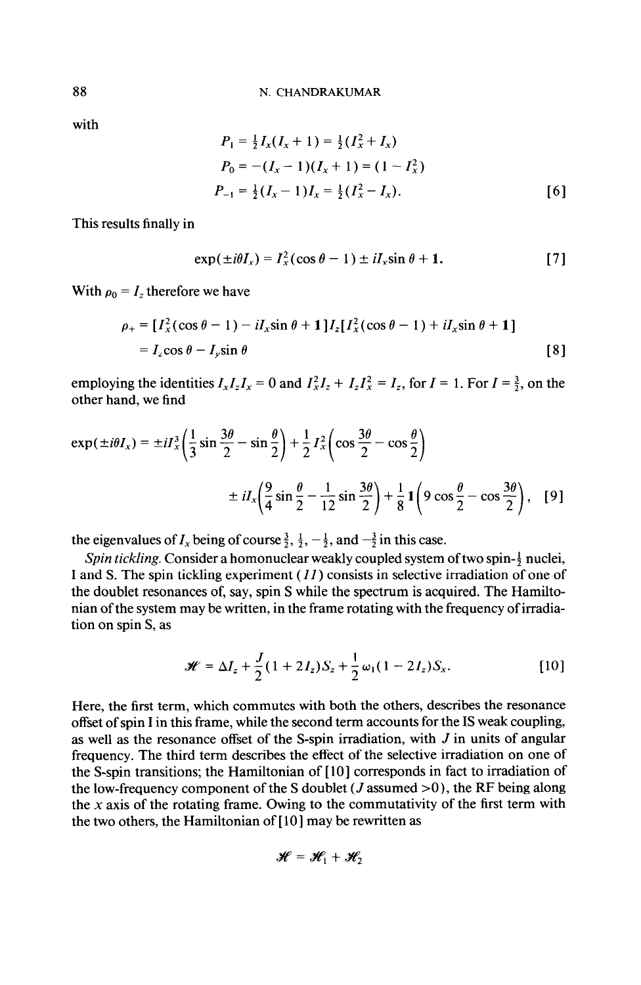with

$$
P_1 = \frac{1}{2}I_x(I_x + 1) = \frac{1}{2}(I_x^2 + I_x)
$$
  
\n
$$
P_0 = -(I_x - 1)(I_x + 1) = (1 - I_x^2)
$$
  
\n
$$
P_{-1} = \frac{1}{2}(I_x - 1)I_x = \frac{1}{2}(I_x^2 - I_x).
$$
 [6]

This results finally in

$$
\exp(\pm i\theta I_x) = I_x^2(\cos\theta - 1) \pm iI_x \sin\theta + 1. \tag{7}
$$

With  $\rho_0 = I_z$  therefore we have

$$
\rho_+ = [I_x^2(\cos\theta - 1) - iI_x\sin\theta + 1]I_z[I_x^2(\cos\theta - 1) + iI_x\sin\theta + 1]
$$
  
=  $I_z\cos\theta - I_y\sin\theta$  [8]

employing the identities  $I_xI_zI_x = 0$  and  $I_x^2I_z + I_zI_x^2 = I_z$ , for  $I = 1$ . For  $I = \frac{3}{2}$ , on the other hand, we find

$$
\exp(\pm i\theta I_x) = \pm i I_x^3 \left(\frac{1}{3}\sin\frac{3\theta}{2} - \sin\frac{\theta}{2}\right) + \frac{1}{2} I_x^2 \left(\cos\frac{3\theta}{2} - \cos\frac{\theta}{2}\right)
$$

$$
\pm i I_x \left(\frac{9}{4}\sin\frac{\theta}{2} - \frac{1}{12}\sin\frac{3\theta}{2}\right) + \frac{1}{8} \mathbf{1} \left(9\cos\frac{\theta}{2} - \cos\frac{3\theta}{2}\right), \quad [9]
$$

the eigenvalues of  $I_x$  being of course  $\frac{3}{2}$ ,  $\frac{1}{2}$ ,  $-\frac{1}{2}$ , and  $-\frac{3}{2}$  in this case.

Spin tickling. Consider a homonuclear weakly coupled system of two spin- $\frac{1}{2}$  nuclei, I and S. The spin tickling experiment  $(11)$  consists in selective irradiation of one of the doublet resonances of, say, spin S while the spectrum is acquired. The Hamiltonian of the system may be written, in the frame rotating with the frequency of irradiation on spin S, as

$$
\mathcal{H} = \Delta I_z + \frac{J}{2} (1 + 2I_z) S_z + \frac{1}{2} \omega_1 (1 - 2I_z) S_x.
$$
 [10]

Here, the first term, which commutes with both the others, describes the resonance offset of spin I in this frame, while the second term accounts for the IS weak coupling, as well as the resonance offset of the S-spin irradiation, with  $J$  in units of angular frequency. The third term describes the effect of the selective irradiation on one of the S-spin transitions; the Hamiltonian of [lo] corresponds in fact to irradiation of the low-frequency component of the S doublet ( $J$  assumed  $>0$ ), the RF being along the  $x$  axis of the rotating frame. Owing to the commutativity of the first term with the two others, the Hamiltonian of [10] may be rewritten as

$$
\mathcal{H} = \mathcal{H}_1 + \mathcal{H}_2
$$

88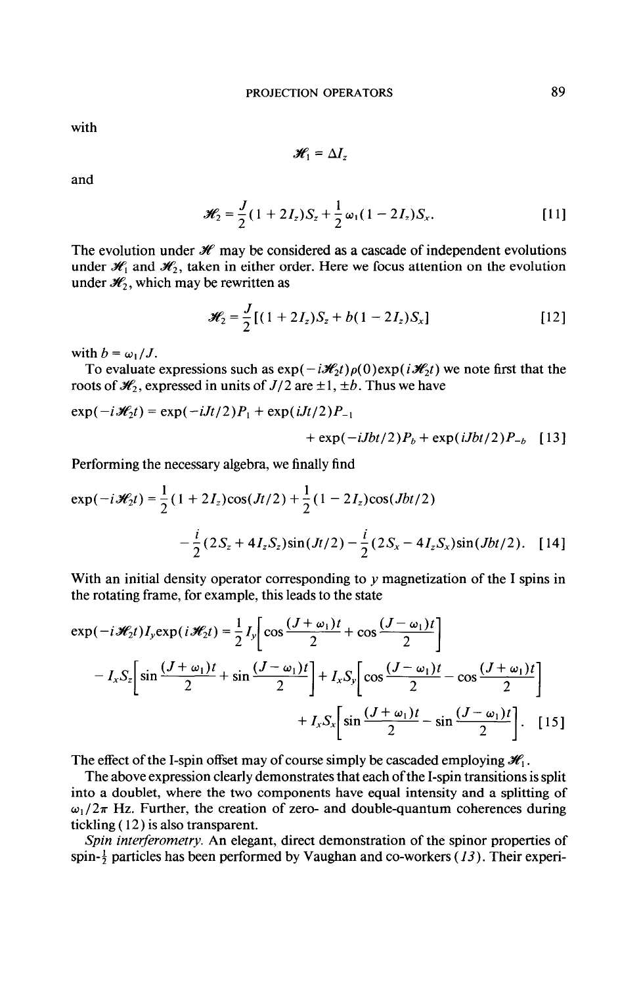with

$$
\mathscr{H}_1 = \Delta I_z
$$

and

$$
\mathcal{H}_2 = \frac{J}{2}(1 + 2I_z)S_z + \frac{1}{2}\omega_1(1 - 2I_z)S_x.
$$
 [11]

The evolution under  $\mathcal H$  may be considered as a cascade of independent evolutions under  $\mathcal{H}_1$  and  $\mathcal{H}_2$ , taken in either order. Here we focus attention on the evolution under  $\mathcal{H}_2$ , which may be rewritten as

$$
\mathcal{H}_2 = \frac{J}{2} [(1 + 2I_z)S_z + b(1 - 2I_z)S_x]
$$
 [12]

with  $b = \omega_1 / J$ .

To evaluate expressions such as  $exp(-i\mathcal{H}_2t)\rho(0)exp(i\mathcal{H}_2t)$  we note first that the roots of  $\mathcal{H}_2$ , expressed in units of  $J/2$  are  $\pm 1, \pm b$ . Thus we have

$$
\exp(-i\mathcal{H}_2 t) = \exp(-iJt/2)P_1 + \exp(iJt/2)P_{-1} + \exp(-iJbt/2)P_b + \exp(iJbt/2)P_{-b} \quad [13]
$$

Performing the necessary algebra, we finally find

$$
\exp(-i\mathcal{H}_2 t) = \frac{1}{2}(1+2I_z)\cos(Jt/2) + \frac{1}{2}(1-2I_z)\cos(Jbt/2)
$$

$$
-\frac{i}{2}(2S_z + 4I_zS_z)\sin(Jt/2) - \frac{i}{2}(2S_x - 4I_zS_x)\sin(Jbt/2). \quad [14]
$$

With an initial density operator corresponding to  $y$  magnetization of the I spins in the rotating frame, for example, this leads to the state

$$
\exp(-i\mathcal{H}_2 t)I_y \exp(i\mathcal{H}_2 t) = \frac{1}{2}I_y \left[ \cos\frac{(J+\omega_1)t}{2} + \cos\frac{(J-\omega_1)t}{2} \right]
$$

$$
-I_x S_z \left[ \sin\frac{(J+\omega_1)t}{2} + \sin\frac{(J-\omega_1)t}{2} \right] + I_x S_y \left[ \cos\frac{(J-\omega_1)t}{2} - \cos\frac{(J+\omega_1)t}{2} \right]
$$

$$
+ I_x S_x \left[ \sin\frac{(J+\omega_1)t}{2} - \sin\frac{(J-\omega_1)t}{2} \right]. \quad [15]
$$

The effect of the I-spin offset may of course simply be cascaded employing  $\mathcal{H}_1$ .

The above expression clearly demonstrates that each of the I-spin transitions is split into a doublet, where the two components have equal intensity and a splitting of  $\omega_1/2\pi$  Hz. Further, the creation of zero- and double-quantum coherences during tickling ( 12) is also transparent.

Spin interferometry. An elegant, direct demonstration of the spinor properties of spin- $\frac{1}{2}$  particles has been performed by Vaughan and co-workers (13). Their experi-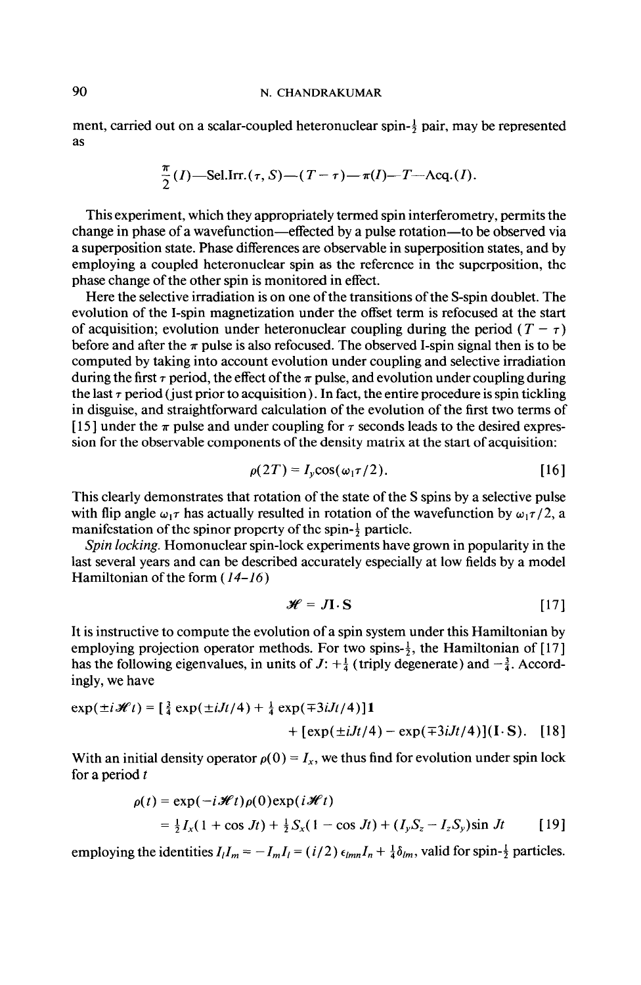# 90 N. CHANDRAKUMAR

ment, carried out on a scalar-coupled heteronuclear spin- $\frac{1}{2}$  pair, may be represented as

$$
\frac{\pi}{2}(I) - \text{Sel. Irr.}(\tau, S) - (T - \tau) - \pi(I) - T - \text{Acq.}(I).
$$

This experiment, which they appropriately termed spin interferometry, permits the change in phase of a wavefunction-effected by a pulse rotation-to be observed via a superposition state. Phase differences are observable in superposition states, and by employing a coupled heteronuclear spin as the reference in the superposition, the phase change of the other spin is monitored in effect.

Here the selective irradiation is on one of the transitions of the S-spin doublet. The evolution of the I-spin magnetization under the offset term is refocused at the start of acquisition; evolution under heteronuclear coupling during the period  $(T - \tau)$ before and after the  $\pi$  pulse is also refocused. The observed I-spin signal then is to be computed by taking into account evolution under coupling and selective irradiation during the first  $\tau$  period, the effect of the  $\pi$  pulse, and evolution under coupling during the last  $\tau$  period (just prior to acquisition). In fact, the entire procedure is spin tickling in disguise, and straightforward calculation of the evolution of the first two terms of [15] under the  $\pi$  pulse and under coupling for  $\tau$  seconds leads to the desired expression for the observable components of the density matrix at the start of acquisition:

$$
\rho(2T) = I_y \cos(\omega_1 \tau/2). \tag{16}
$$

This clearly demonstrates that rotation of the state of the S spins by a selective pulse with flip angle  $\omega_1\tau$  has actually resulted in rotation of the wavefunction by  $\omega_1\tau/2$ , a manifestation of the spinor property of the spin- $\frac{1}{2}$  particle.

Spin locking. Homonuclear spin-lock experiments have grown in popularity in the last several years and can be described accurately especially at low fields by a model Hamiltonian of the form (14-16)

$$
\mathcal{H} = J\mathbf{I} \cdot \mathbf{S} \tag{17}
$$

It is instructive to compute the evolution of a spin system under this Hamiltonian by employing projection operator methods. For two spins- $\frac{1}{2}$ , the Hamiltonian of [17] has the following eigenvalues, in units of  $J: +\frac{1}{4}$  (triply degenerate) and  $-\frac{3}{4}$ . Accordingly, we have

$$
\exp(\pm i \mathcal{H}t) = \left[\frac{3}{4} \exp(\pm iJt/4) + \frac{1}{4} \exp(\mp 3iJt/4)\right]1 + [\exp(\pm iJt/4) - \exp(\mp 3iJt/4)](I \cdot S). \quad [18]
$$

With an initial density operator  $\rho(0) = I_x$ , we thus find for evolution under spin lock for a period  $t$ 

$$
\rho(t) = \exp(-i\mathcal{H}t)\rho(0)\exp(i\mathcal{H}t)
$$
  
=  $\frac{1}{2}I_x(1+\cos Jt) + \frac{1}{2}S_x(1-\cos Jt) + (I_yS_z-I_zS_y)\sin Jt$  [19]

employing the identities  $I_l I_m = -I_m I_l = (i/2) \epsilon_{lmn} I_n + \frac{1}{4} \delta_{lm}$ , valid for spin- $\frac{1}{2}$  particles.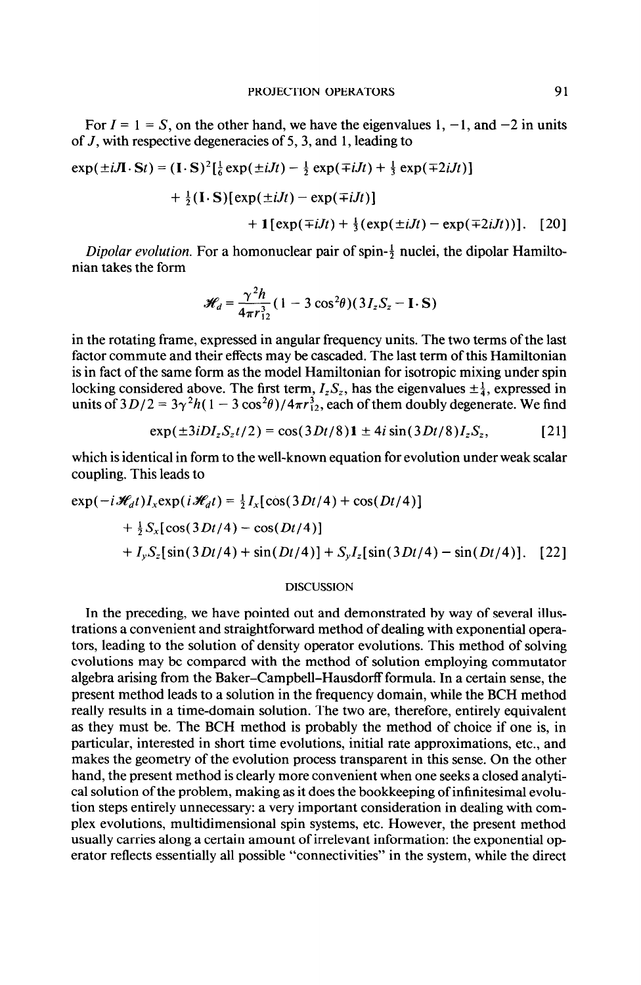For  $I = 1 = S$ , on the other hand, we have the eigenvalues 1, -1, and -2 in units of J, with respective degeneracies of 5,3, and 1, leading to

$$
\exp(\pm iJ\mathbf{I}\cdot\mathbf{S}t) = (\mathbf{I}\cdot\mathbf{S})^2 \left[\frac{1}{6} \exp(\pm iJt) - \frac{1}{2} \exp(\mp iJt) + \frac{1}{3} \exp(\mp 2iJt)\right] \\
+ \frac{1}{2} (\mathbf{I}\cdot\mathbf{S}) [\exp(\pm iJt) - \exp(\mp iJt)] \\
+ \mathbf{1} [\exp(\mp iJt) + \frac{1}{3} (\exp(\pm iJt) - \exp(\mp 2iJt))]. \quad [20]
$$

Dipolar evolution. For a homonuclear pair of spin- $\frac{1}{2}$  nuclei, the dipolar Hamiltonian takes the form

$$
\mathcal{H}_d = \frac{\gamma^2 h}{4\pi r_{12}^3} (1 - 3\cos^2\theta) (3I_zS_z - \mathbf{I} \cdot \mathbf{S})
$$

in the rotating frame, expressed in angular frequency units. The two terms of the last factor commute and their effects may be cascaded. The last term of this Hamiltonian is in fact of the same form as the model Hamiltonian for isotropic mixing under spin locking considered above. The first term,  $I_z S_z$ , has the eigenvalues  $\pm \frac{1}{4}$ , expressed in units of  $3D/2 = 3\gamma^2 h(1 - 3\cos^2\theta)/4\pi r_{12}^3$ , each of them doubly degenerate. We find

$$
\exp(\pm 3i D I_z S_z t/2) = \cos(3 D t/8) \mathbf{1} \pm 4i \sin(3 D t/8) I_z S_z, \tag{21}
$$

which is identical in form to the well-known equation for evolution under weak scalar coupling. This leads to

$$
\exp(-i\mathcal{H}_d t)I_x \exp(i\mathcal{H}_d t) = \frac{1}{2}I_x[\cos(3Dt/4) + \cos(Dt/4)]
$$
  
+  $\frac{1}{2}S_x[\cos(3Dt/4) - \cos(Dt/4)]$   
+  $I_yS_z[\sin(3Dt/4) + \sin(Dt/4)] + S_yI_z[\sin(3Dt/4) - \sin(Dt/4)].$  [22]

#### DISCUSSION

In the preceding, we have pointed out and demonstrated by way of several illustrations a convenient and straightforward method of dealing with exponential operators, leading to the solution of density operator evolutions. This method of solving evolutions may be compared with the method of solution employing commutator algebra arising from the Baker-Campbell-Hausdorff formula. In a certain sense, the present method leads to a solution in the frequency domain, while the BCH method really results in a time-domain solution. The two are, therefore, entirely equivalent as they must be. The BCH method is probably the method of choice if one is, in particular, interested in short time evolutions, initial rate approximations, etc., and makes the geometry of the evolution process transparent in this sense. On the other hand, the present method is clearly more convenient when one seeks a closed analytical solution of the problem, making as it does the bookkeeping of infinitesimal evolution steps entirely unnecessary: a very important consideration in dealing with complex evolutions, multidimensional spin systems, etc. However, the present method usually carries along a certain amount of irrelevant information: the exponential operator reflects essentially all possible "connectivities" in the system, while the direct